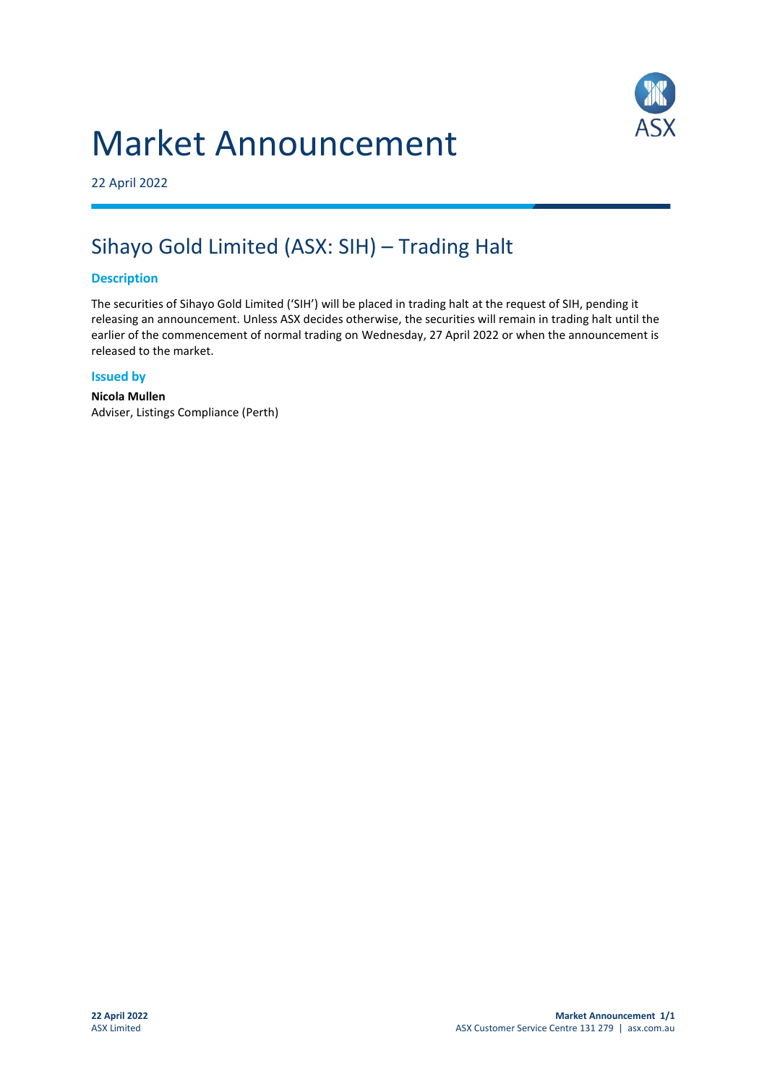# Market Announcement



22 April 2022

# Sihayo Gold Limited (ASX: SIH) – Trading Halt

### **Description**

The securities of Sihayo Gold Limited ('SIH') will be placed in trading halt at the request of SIH, pending it releasing an announcement. Unless ASX decides otherwise, the securities will remain in trading halt until the earlier of the commencement of normal trading on Wednesday, 27 April 2022 or when the announcement is released to the market.

#### **Issued by**

**Nicola Mullen** Adviser, Listings Compliance (Perth)